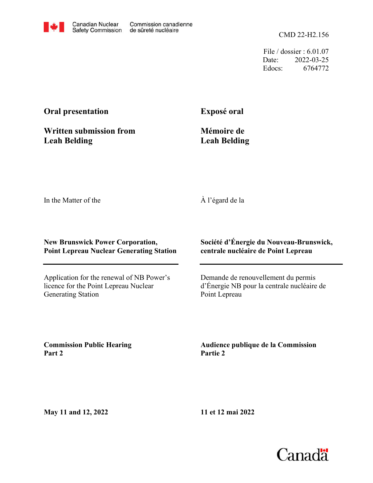File / dossier : 6.01.07 Date: 2022-03-25 Edocs: 6764772

# **Oral presentation**

**Exposé oral**

**Leah Belding Written submission from**

**Mémoire de Leah Belding**

In the Matter of the

## À l'égard de la

#### **New Brunswick Power Corporation, Point Lepreau Nuclear Generating Station**

Application for the renewal of NB Power's licence for the Point Lepreau Nuclear Generating Station

### **Société d'Énergie du Nouveau-Brunswick, centrale nucléaire de Point Lepreau**

Demande de renouvellement du permis d'Énergie NB pour la centrale nucléaire de Point Lepreau

**Commission Public Hearing Part 2**

**Audience publique de la Commission Partie 2**

**May 11 and 12, 2022**

**11 et 12 mai 2022**

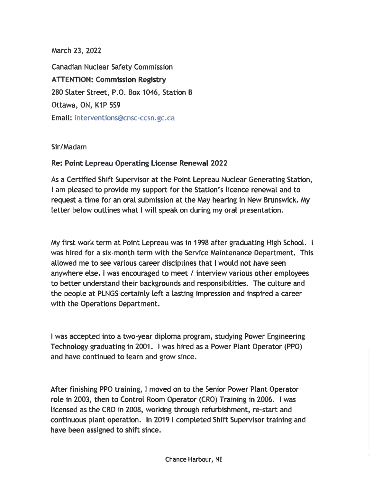March 23, 2022

Canadian Nuclear Safety Commission **ATTENTION: Commission Registry** 280 Slater Street, P.O. Box 1046, Station <sup>B</sup> Ottawa, ON, K1P 5S9 Email: interventions®cnsc-ccsn .gc.ca

### Sir/Madam

### **Re: Point Lepreau Operating License Renewal 2022**

As a Certified Shift Supervisor at the Point Lepreau Nuclear Generating Station, <sup>I</sup> am pleased to provide my support for the Station's licence renewal and to request a time for an oral submission at the May hearing in New Brunswick. My letter below outlines what <sup>I</sup> will speak on during my oral presentation.

My first work term at Point Lepreau was in 1998 after graduating High School. <sup>I</sup> was hired for a six-month term with the Service Maintenance Department. This allowed me to see various career disciplines that <sup>I</sup> would not have seen anywhere else. <sup>I</sup> was encouraged to meet / interview various other employees to better understand their backgrounds and responsibilities. The culture and the people at PLNGS certainly left <sup>a</sup> tasting impression and inspired <sup>a</sup> career with the Operations Department.

<sup>I</sup> was accepted into a two-year diploma program, studying Power Engineering Technology graduating in 2001. <sup>I</sup> was hired as a Power Plant Operator (PPO) and have continued to learn and grow since.

After finishing PPO training, <sup>I</sup> moved on to the Senior Power Plant Operator role in 2003, then to Control Room Operator (CR0) Training in 2006. <sup>I</sup> was licensed as the CR0 in 2008, working through refurbishment, re-start and continuous plant operation. In 2019 <sup>I</sup> completed Shift Supervisor training and have been assigned to shift since.